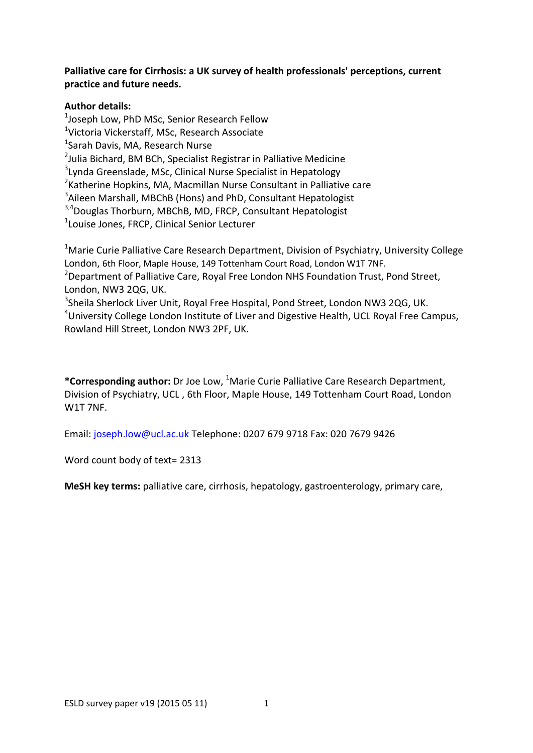## **Palliative care for Cirrhosis: a UK survey of health professionals' perceptions, current practice and future needs.**

#### **Author details:**

<sup>1</sup>Joseph Low, PhD MSc, Senior Research Fellow <sup>1</sup>Victoria Vickerstaff, MSc, Research Associate <sup>1</sup>Sarah Davis, MA, Research Nurse <sup>2</sup>Julia Bichard, BM BCh, Specialist Registrar in Palliative Medicine <sup>3</sup>Lynda Greenslade, MSc, Clinical Nurse Specialist in Hepatology <sup>2</sup> Katherine Hopkins, MA, Macmillan Nurse Consultant in Palliative care <sup>3</sup>Aileen Marshall, MBChB (Hons) and PhD, Consultant Hepatologist  $3,4$ Douglas Thorburn, MBChB, MD, FRCP, Consultant Hepatologist 1 Louise Jones, FRCP, Clinical Senior Lecturer

<sup>1</sup>Marie Curie Palliative Care Research Department, Division of Psychiatry, University College London, 6th Floor, Maple House, 149 Tottenham Court Road, London W1T 7NF. <sup>2</sup>Department of Palliative Care, Royal Free London NHS Foundation Trust, Pond Street,

London, NW3 2QG, UK.

<sup>3</sup>Sheila Sherlock Liver Unit, Royal Free Hospital, Pond Street, London NW3 2QG, UK. <sup>4</sup>University College London Institute of Liver and Digestive Health, UCL Royal Free Campus, Rowland Hill Street, London NW3 2PF, UK.

**\*Corresponding author:** Dr Joe Low, <sup>1</sup>Marie Curie Palliative Care Research Department, Division of Psychiatry, UCL , 6th Floor, Maple House, 149 Tottenham Court Road, London W1T 7NF.

Email: joseph.low@ucl.ac.uk Telephone: 0207 679 9718 Fax: 020 7679 9426

Word count body of text= 2313

**MeSH key terms:** palliative care, cirrhosis, hepatology, gastroenterology, primary care,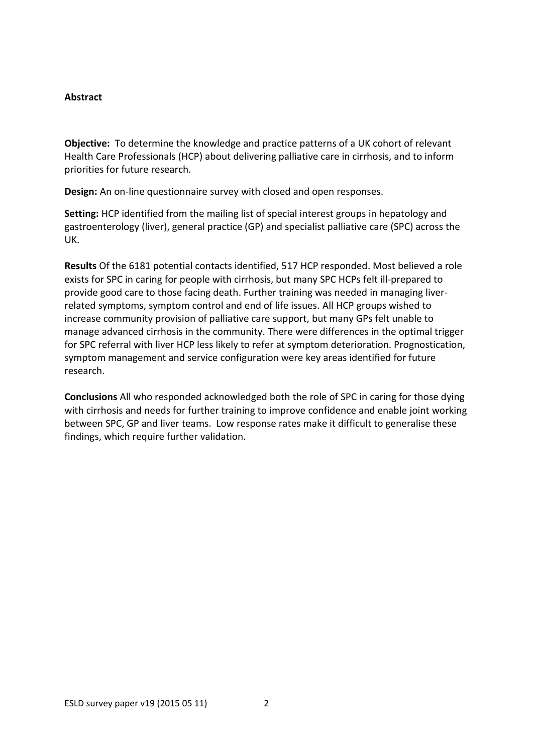#### **Abstract**

**Objective:** To determine the knowledge and practice patterns of a UK cohort of relevant Health Care Professionals (HCP) about delivering palliative care in cirrhosis, and to inform priorities for future research.

**Design:** An on-line questionnaire survey with closed and open responses.

**Setting:** HCP identified from the mailing list of special interest groups in hepatology and gastroenterology (liver), general practice (GP) and specialist palliative care (SPC) across the UK.

**Results** Of the 6181 potential contacts identified, 517 HCP responded. Most believed a role exists for SPC in caring for people with cirrhosis, but many SPC HCPs felt ill-prepared to provide good care to those facing death. Further training was needed in managing liverrelated symptoms, symptom control and end of life issues. All HCP groups wished to increase community provision of palliative care support, but many GPs felt unable to manage advanced cirrhosis in the community. There were differences in the optimal trigger for SPC referral with liver HCP less likely to refer at symptom deterioration. Prognostication, symptom management and service configuration were key areas identified for future research.

**Conclusions** All who responded acknowledged both the role of SPC in caring for those dying with cirrhosis and needs for further training to improve confidence and enable joint working between SPC, GP and liver teams. Low response rates make it difficult to generalise these findings, which require further validation.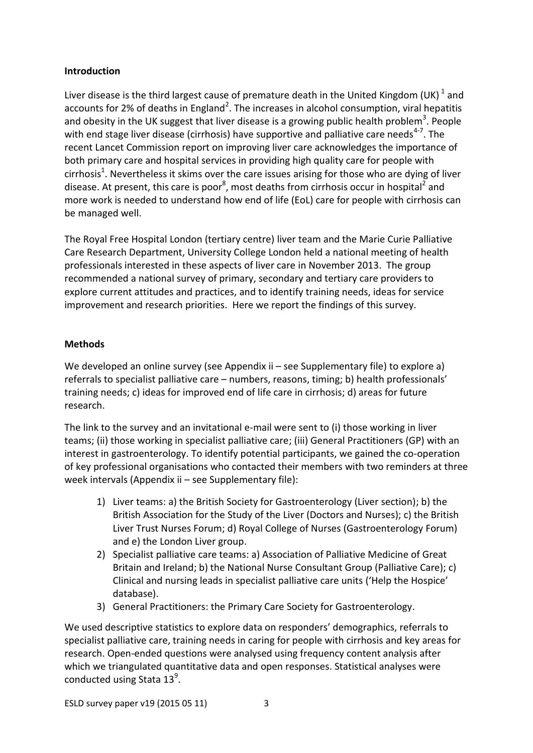### **Introduction**

Liver disease is the third largest cause of premature death in the United Kingdom (UK)  $^1$  and accounts for 2% of deaths in England<sup>2</sup>. The increases in alcohol consumption, viral hepatitis and obesity in the UK suggest that liver disease is a growing public health problem<sup>3</sup>. People with end stage liver disease (cirrhosis) have supportive and palliative care needs<sup>4-7</sup>. The recent Lancet Commission report on improving liver care acknowledges the importance of both primary care and hospital services in providing high quality care for people with cirrhosis<sup>1</sup>. Nevertheless it skims over the care issues arising for those who are dying of liver disease. At present, this care is poor<sup>8</sup>, most deaths from cirrhosis occur in hospital<sup>2</sup> and more work is needed to understand how end of life (EoL) care for people with cirrhosis can be managed well.

The Royal Free Hospital London (tertiary centre) liver team and the Marie Curie Palliative Care Research Department, University College London held a national meeting of health professionals interested in these aspects of liver care in November 2013. The group recommended a national survey of primary, secondary and tertiary care providers to explore current attitudes and practices, and to identify training needs, ideas for service improvement and research priorities. Here we report the findings of this survey.

## **Methods**

We developed an online survey (see Appendix ii – see Supplementary file) to explore a) referrals to specialist palliative care – numbers, reasons, timing; b) health professionals' training needs; c) ideas for improved end of life care in cirrhosis; d) areas for future research.

The link to the survey and an invitational e-mail were sent to (i) those working in liver teams; (ii) those working in specialist palliative care; (iii) General Practitioners (GP) with an interest in gastroenterology. To identify potential participants, we gained the co-operation of key professional organisations who contacted their members with two reminders at three week intervals (Appendix ii – see Supplementary file):

- 1) Liver teams: a) the British Society for Gastroenterology (Liver section); b) the British Association for the Study of the Liver (Doctors and Nurses); c) the British Liver Trust Nurses Forum; d) Royal College of Nurses (Gastroenterology Forum) and e) the London Liver group.
- 2) Specialist palliative care teams: a) Association of Palliative Medicine of Great Britain and Ireland; b) the National Nurse Consultant Group (Palliative Care); c) Clinical and nursing leads in specialist palliative care units ('Help the Hospice' database).
- 3) General Practitioners: the Primary Care Society for Gastroenterology.

We used descriptive statistics to explore data on responders' demographics, referrals to specialist palliative care, training needs in caring for people with cirrhosis and key areas for research. Open-ended questions were analysed using frequency content analysis after which we triangulated quantitative data and open responses. Statistical analyses were conducted using Stata  $13^9$ .

ESLD survey paper v19 (2015 05 11) 3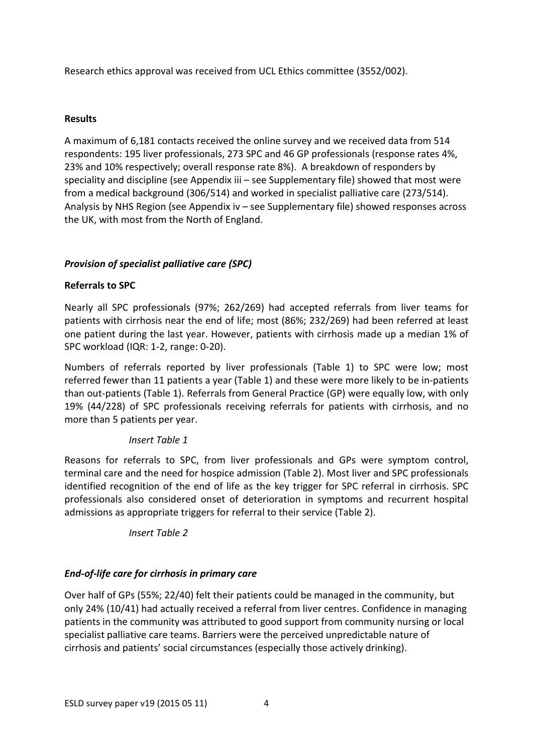Research ethics approval was received from UCL Ethics committee (3552/002).

## **Results**

A maximum of 6,181 contacts received the online survey and we received data from 514 respondents: 195 liver professionals, 273 SPC and 46 GP professionals (response rates 4%, 23% and 10% respectively; overall response rate 8%). A breakdown of responders by speciality and discipline (see Appendix iii – see Supplementary file) showed that most were from a medical background (306/514) and worked in specialist palliative care (273/514). Analysis by NHS Region (see Appendix iv – see Supplementary file) showed responses across the UK, with most from the North of England.

# *Provision of specialist palliative care (SPC)*

# **Referrals to SPC**

Nearly all SPC professionals (97%; 262/269) had accepted referrals from liver teams for patients with cirrhosis near the end of life; most (86%; 232/269) had been referred at least one patient during the last year. However, patients with cirrhosis made up a median 1% of SPC workload (IQR: 1-2, range: 0-20).

Numbers of referrals reported by liver professionals (Table 1) to SPC were low; most referred fewer than 11 patients a year (Table 1) and these were more likely to be in-patients than out-patients (Table 1). Referrals from General Practice (GP) were equally low, with only 19% (44/228) of SPC professionals receiving referrals for patients with cirrhosis, and no more than 5 patients per year.

# *Insert Table 1*

Reasons for referrals to SPC, from liver professionals and GPs were symptom control, terminal care and the need for hospice admission (Table 2). Most liver and SPC professionals identified recognition of the end of life as the key trigger for SPC referral in cirrhosis. SPC professionals also considered onset of deterioration in symptoms and recurrent hospital admissions as appropriate triggers for referral to their service (Table 2).

*Insert Table 2*

# *End-of-life care for cirrhosis in primary care*

Over half of GPs (55%; 22/40) felt their patients could be managed in the community, but only 24% (10/41) had actually received a referral from liver centres. Confidence in managing patients in the community was attributed to good support from community nursing or local specialist palliative care teams. Barriers were the perceived unpredictable nature of cirrhosis and patients' social circumstances (especially those actively drinking).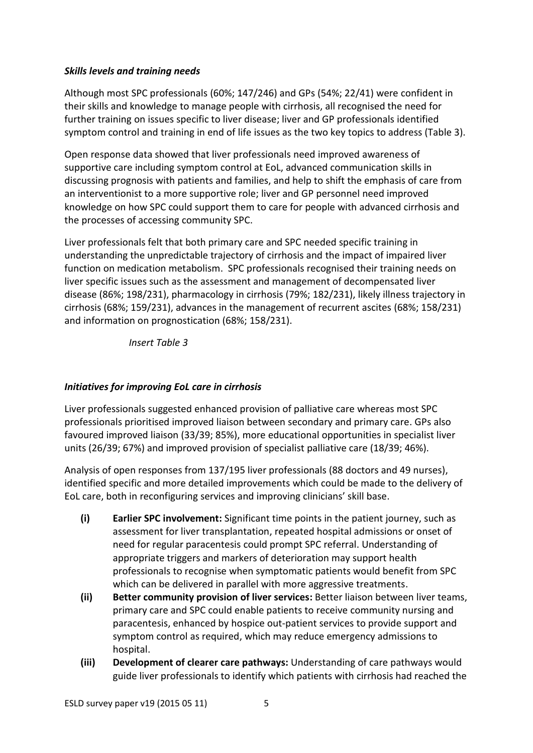## *Skills levels and training needs*

Although most SPC professionals (60%; 147/246) and GPs (54%; 22/41) were confident in their skills and knowledge to manage people with cirrhosis, all recognised the need for further training on issues specific to liver disease; liver and GP professionals identified symptom control and training in end of life issues as the two key topics to address (Table 3).

Open response data showed that liver professionals need improved awareness of supportive care including symptom control at EoL, advanced communication skills in discussing prognosis with patients and families, and help to shift the emphasis of care from an interventionist to a more supportive role; liver and GP personnel need improved knowledge on how SPC could support them to care for people with advanced cirrhosis and the processes of accessing community SPC.

Liver professionals felt that both primary care and SPC needed specific training in understanding the unpredictable trajectory of cirrhosis and the impact of impaired liver function on medication metabolism. SPC professionals recognised their training needs on liver specific issues such as the assessment and management of decompensated liver disease (86%; 198/231), pharmacology in cirrhosis (79%; 182/231), likely illness trajectory in cirrhosis (68%; 159/231), advances in the management of recurrent ascites (68%; 158/231) and information on prognostication (68%; 158/231).

*Insert Table 3*

# *Initiatives for improving EoL care in cirrhosis*

Liver professionals suggested enhanced provision of palliative care whereas most SPC professionals prioritised improved liaison between secondary and primary care. GPs also favoured improved liaison (33/39; 85%), more educational opportunities in specialist liver units (26/39; 67%) and improved provision of specialist palliative care (18/39; 46%).

Analysis of open responses from 137/195 liver professionals (88 doctors and 49 nurses), identified specific and more detailed improvements which could be made to the delivery of EoL care, both in reconfiguring services and improving clinicians' skill base.

- **(i) Earlier SPC involvement:** Significant time points in the patient journey, such as assessment for liver transplantation, repeated hospital admissions or onset of need for regular paracentesis could prompt SPC referral. Understanding of appropriate triggers and markers of deterioration may support health professionals to recognise when symptomatic patients would benefit from SPC which can be delivered in parallel with more aggressive treatments.
- **(ii) Better community provision of liver services:** Better liaison between liver teams, primary care and SPC could enable patients to receive community nursing and paracentesis, enhanced by hospice out-patient services to provide support and symptom control as required, which may reduce emergency admissions to hospital.
- **(iii) Development of clearer care pathways:** Understanding of care pathways would guide liver professionals to identify which patients with cirrhosis had reached the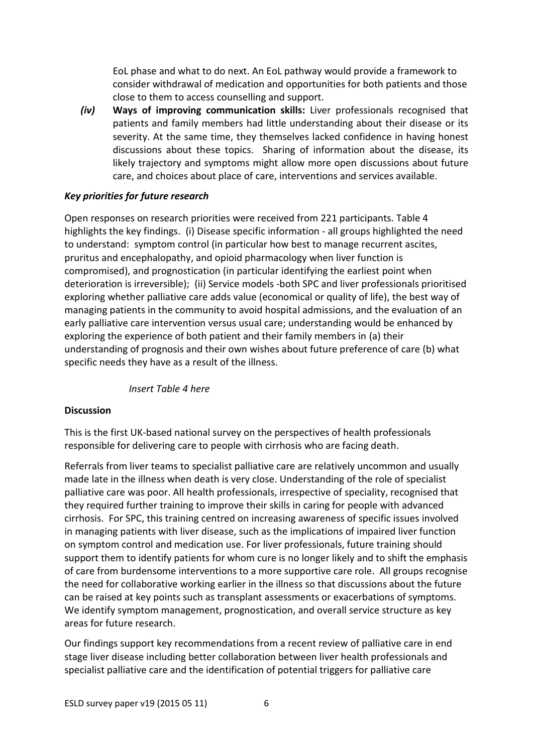EoL phase and what to do next. An EoL pathway would provide a framework to consider withdrawal of medication and opportunities for both patients and those close to them to access counselling and support.

*(iv)* **Ways of improving communication skills:** Liver professionals recognised that patients and family members had little understanding about their disease or its severity. At the same time, they themselves lacked confidence in having honest discussions about these topics. Sharing of information about the disease, its likely trajectory and symptoms might allow more open discussions about future care, and choices about place of care, interventions and services available.

## *Key priorities for future research*

Open responses on research priorities were received from 221 participants. Table 4 highlights the key findings. (i) Disease specific information - all groups highlighted the need to understand: symptom control (in particular how best to manage recurrent ascites, pruritus and encephalopathy, and opioid pharmacology when liver function is compromised), and prognostication (in particular identifying the earliest point when deterioration is irreversible); (ii) Service models -both SPC and liver professionals prioritised exploring whether palliative care adds value (economical or quality of life), the best way of managing patients in the community to avoid hospital admissions, and the evaluation of an early palliative care intervention versus usual care; understanding would be enhanced by exploring the experience of both patient and their family members in (a) their understanding of prognosis and their own wishes about future preference of care (b) what specific needs they have as a result of the illness.

## *Insert Table 4 here*

## **Discussion**

This is the first UK-based national survey on the perspectives of health professionals responsible for delivering care to people with cirrhosis who are facing death.

Referrals from liver teams to specialist palliative care are relatively uncommon and usually made late in the illness when death is very close. Understanding of the role of specialist palliative care was poor. All health professionals, irrespective of speciality, recognised that they required further training to improve their skills in caring for people with advanced cirrhosis. For SPC, this training centred on increasing awareness of specific issues involved in managing patients with liver disease, such as the implications of impaired liver function on symptom control and medication use. For liver professionals, future training should support them to identify patients for whom cure is no longer likely and to shift the emphasis of care from burdensome interventions to a more supportive care role. All groups recognise the need for collaborative working earlier in the illness so that discussions about the future can be raised at key points such as transplant assessments or exacerbations of symptoms. We identify symptom management, prognostication, and overall service structure as key areas for future research.

Our findings support key recommendations from a recent review of palliative care in end stage liver disease including better collaboration between liver health professionals and specialist palliative care and the identification of potential triggers for palliative care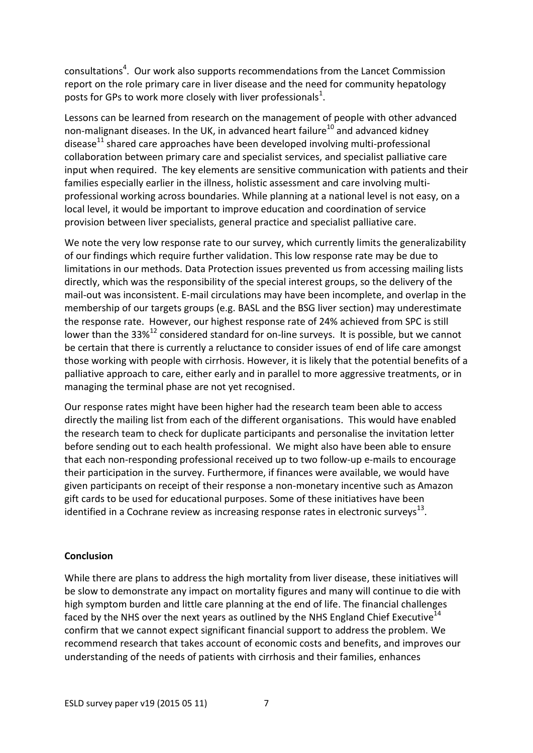consultations<sup>4</sup>. Our work also supports recommendations from the Lancet Commission report on the role primary care in liver disease and the need for community hepatology posts for GPs to work more closely with liver professionals<sup>1</sup>.

Lessons can be learned from research on the management of people with other advanced non-malignant diseases. In the UK, in advanced heart failure<sup>10</sup> and advanced kidney disease<sup>11</sup> shared care approaches have been developed involving multi-professional collaboration between primary care and specialist services, and specialist palliative care input when required. The key elements are sensitive communication with patients and their families especially earlier in the illness, holistic assessment and care involving multiprofessional working across boundaries. While planning at a national level is not easy, on a local level, it would be important to improve education and coordination of service provision between liver specialists, general practice and specialist palliative care.

We note the very low response rate to our survey, which currently limits the generalizability of our findings which require further validation. This low response rate may be due to limitations in our methods. Data Protection issues prevented us from accessing mailing lists directly, which was the responsibility of the special interest groups, so the delivery of the mail-out was inconsistent. E-mail circulations may have been incomplete, and overlap in the membership of our targets groups (e.g. BASL and the BSG liver section) may underestimate the response rate. However, our highest response rate of 24% achieved from SPC is still lower than the 33% $^{12}$  considered standard for on-line surveys. It is possible, but we cannot be certain that there is currently a reluctance to consider issues of end of life care amongst those working with people with cirrhosis. However, it is likely that the potential benefits of a palliative approach to care, either early and in parallel to more aggressive treatments, or in managing the terminal phase are not yet recognised.

Our response rates might have been higher had the research team been able to access directly the mailing list from each of the different organisations. This would have enabled the research team to check for duplicate participants and personalise the invitation letter before sending out to each health professional. We might also have been able to ensure that each non-responding professional received up to two follow-up e-mails to encourage their participation in the survey. Furthermore, if finances were available, we would have given participants on receipt of their response a non-monetary incentive such as Amazon gift cards to be used for educational purposes. Some of these initiatives have been identified in a Cochrane review as increasing response rates in electronic surveys<sup>13</sup>.

#### **Conclusion**

While there are plans to address the high mortality from liver disease, these initiatives will be slow to demonstrate any impact on mortality figures and many will continue to die with high symptom burden and little care planning at the end of life. The financial challenges faced by the NHS over the next years as outlined by the NHS England Chief Executive<sup>14</sup> confirm that we cannot expect significant financial support to address the problem. We recommend research that takes account of economic costs and benefits, and improves our understanding of the needs of patients with cirrhosis and their families, enhances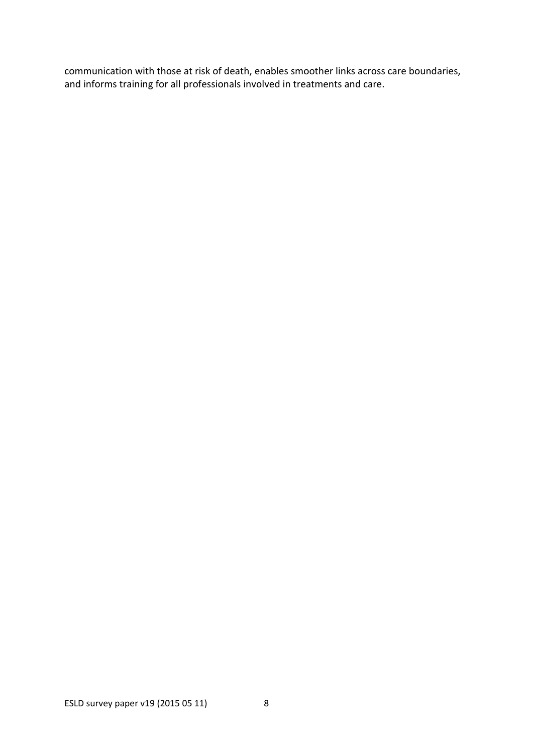communication with those at risk of death, enables smoother links across care boundaries, and informs training for all professionals involved in treatments and care.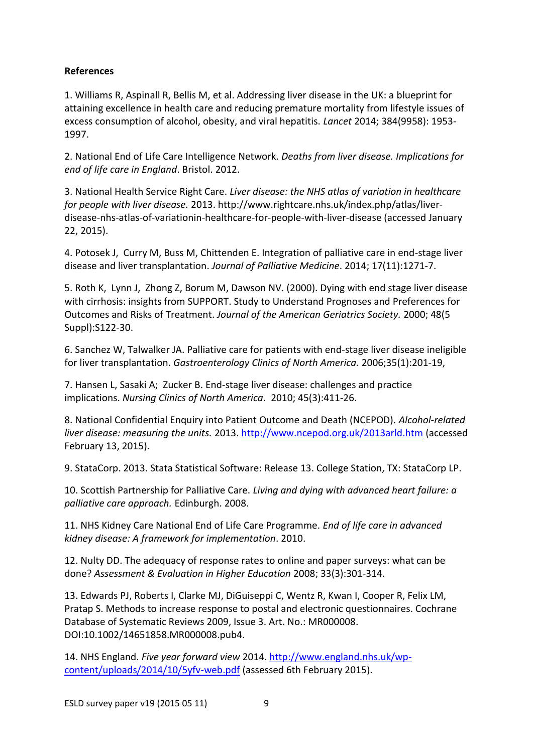## **References**

1. Williams R, Aspinall R, Bellis M, et al. Addressing liver disease in the UK: a blueprint for attaining excellence in health care and reducing premature mortality from lifestyle issues of excess consumption of alcohol, obesity, and viral hepatitis. *Lancet* 2014; 384(9958): 1953- 1997.

2. National End of Life Care Intelligence Network. *Deaths from liver disease. Implications for end of life care in England*. Bristol. 2012.

3. National Health Service Right Care. *Liver disease: the NHS atlas of variation in healthcare for people with liver disease.* 2013. http://www.rightcare.nhs.uk/index.php/atlas/liverdisease-nhs-atlas-of-variationin-healthcare-for-people-with-liver-disease (accessed January 22, 2015).

4. Potosek J, Curry M, Buss M, Chittenden E. Integration of palliative care in end-stage liver disease and liver transplantation. *Journal of Palliative Medicine*. 2014; 17(11):1271-7.

5. Roth K, Lynn J, Zhong Z, Borum M, Dawson NV. (2000). Dying with end stage liver disease with cirrhosis: insights from SUPPORT. Study to Understand Prognoses and Preferences for Outcomes and Risks of Treatment. *Journal of the American Geriatrics Society.* 2000; 48(5 Suppl):S122-30.

6. Sanchez W, Talwalker JA. Palliative care for patients with end-stage liver disease ineligible for liver transplantation. *Gastroenterology Clinics of North America.* 2006;35(1):201-19,

7. Hansen L, Sasaki A; Zucker B. End-stage liver disease: challenges and practice implications. *Nursing Clinics of North America*. 2010; 45(3):411-26.

8. National Confidential Enquiry into Patient Outcome and Death (NCEPOD). *Alcohol-related liver disease: measuring the units.* 2013. <http://www.ncepod.org.uk/2013arld.htm> (accessed February 13, 2015).

9. StataCorp. 2013. Stata Statistical Software: Release 13. College Station, TX: StataCorp LP.

10. Scottish Partnership for Palliative Care. *Living and dying with advanced heart failure: a palliative care approach.* Edinburgh. 2008.

11. NHS Kidney Care National End of Life Care Programme. *End of life care in advanced kidney disease: A framework for implementation*. 2010.

12. Nulty DD. The adequacy of response rates to online and paper surveys: what can be done? *Assessment & Evaluation in Higher Education* 2008; 33(3):301-314.

13. Edwards PJ, Roberts I, Clarke MJ, DiGuiseppi C, Wentz R, Kwan I, Cooper R, Felix LM, Pratap S. Methods to increase response to postal and electronic questionnaires. Cochrane Database of Systematic Reviews 2009, Issue 3. Art. No.: MR000008. DOI:10.1002/14651858.MR000008.pub4.

14. NHS England. *Five year forward view* 2014. [http://www.england.nhs.uk/wp](http://www.england.nhs.uk/wp-content/uploads/2014/10/5yfv-web.pdf)[content/uploads/2014/10/5yfv-web.pdf](http://www.england.nhs.uk/wp-content/uploads/2014/10/5yfv-web.pdf) (assessed 6th February 2015).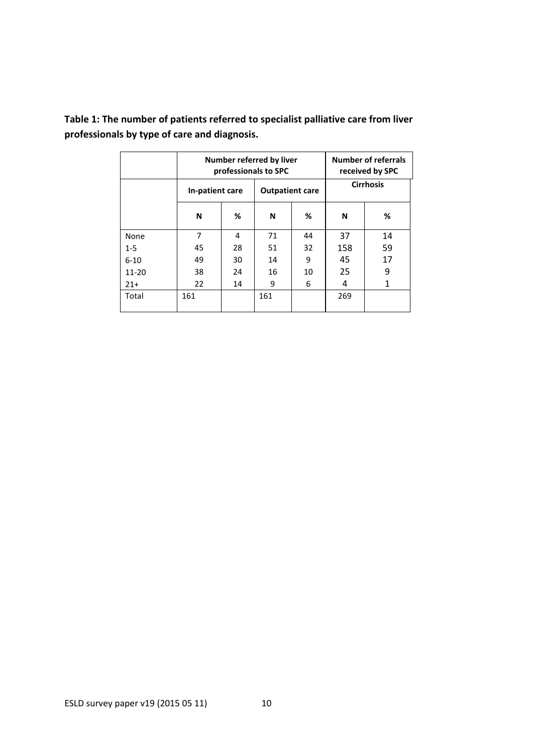|           | Number referred by liver<br>professionals to SPC |    |                        |    | <b>Number of referrals</b><br>received by SPC |    |  |
|-----------|--------------------------------------------------|----|------------------------|----|-----------------------------------------------|----|--|
|           | In-patient care                                  |    | <b>Outpatient care</b> |    | <b>Cirrhosis</b>                              |    |  |
|           | N                                                | %  | N                      | %  | N                                             | %  |  |
| None      | 7                                                | 4  | 71                     | 44 | 37                                            | 14 |  |
| $1 - 5$   | 45                                               | 28 | 51                     | 32 | 158                                           | 59 |  |
| $6 - 10$  | 49                                               | 30 | 14                     | 9  | 45                                            | 17 |  |
| $11 - 20$ | 38                                               | 24 | 16                     | 10 | 25                                            | 9  |  |
| $21+$     | 22                                               | 14 | 9                      | 6  | 4                                             | 1  |  |
| Total     | 161                                              |    | 161                    |    | 269                                           |    |  |

**Table 1: The number of patients referred to specialist palliative care from liver professionals by type of care and diagnosis.**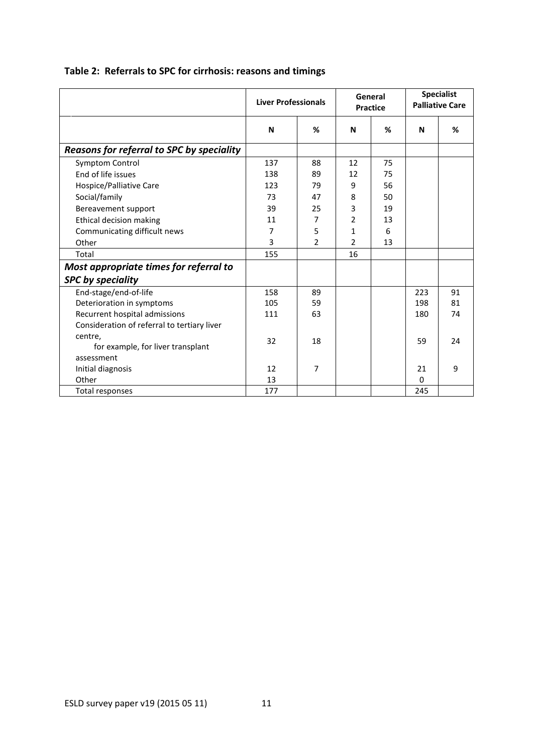|                                              | <b>Liver Professionals</b> |                | General<br><b>Practice</b> |    | <b>Specialist</b><br><b>Palliative Care</b> |    |
|----------------------------------------------|----------------------------|----------------|----------------------------|----|---------------------------------------------|----|
|                                              | N                          | %              | N                          | %  | N                                           | %  |
| Reasons for referral to SPC by speciality    |                            |                |                            |    |                                             |    |
| Symptom Control                              | 137                        | 88             | 12                         | 75 |                                             |    |
| End of life issues                           | 138                        | 89             | 12                         | 75 |                                             |    |
| Hospice/Palliative Care                      | 123                        | 79             | 9                          | 56 |                                             |    |
| Social/family                                | 73                         | 47             | 8                          | 50 |                                             |    |
| Bereavement support                          | 39                         | 25             | 3                          | 19 |                                             |    |
| Ethical decision making                      | 11                         | $\overline{7}$ | $\overline{2}$             | 13 |                                             |    |
| Communicating difficult news                 | 7                          | 5              | $\mathbf{1}$               | 6  |                                             |    |
| Other                                        | 3                          | 2              | 2                          | 13 |                                             |    |
| Total                                        | 155                        |                | 16                         |    |                                             |    |
| Most appropriate times for referral to       |                            |                |                            |    |                                             |    |
| <b>SPC by speciality</b>                     |                            |                |                            |    |                                             |    |
| End-stage/end-of-life                        | 158                        | 89             |                            |    | 223                                         | 91 |
| Deterioration in symptoms                    | 105                        | 59             |                            |    | 198                                         | 81 |
| Recurrent hospital admissions                | 111                        | 63             |                            |    | 180                                         | 74 |
| Consideration of referral to tertiary liver  |                            |                |                            |    |                                             |    |
| centre,<br>for example, for liver transplant | 32                         | 18             |                            |    | 59                                          | 24 |
| assessment                                   |                            |                |                            |    |                                             |    |
| Initial diagnosis                            | 12                         | 7              |                            |    | 21                                          | 9  |
| Other                                        | 13                         |                |                            |    | $\Omega$                                    |    |
| Total responses                              | 177                        |                |                            |    | 245                                         |    |

# **Table 2: Referrals to SPC for cirrhosis: reasons and timings**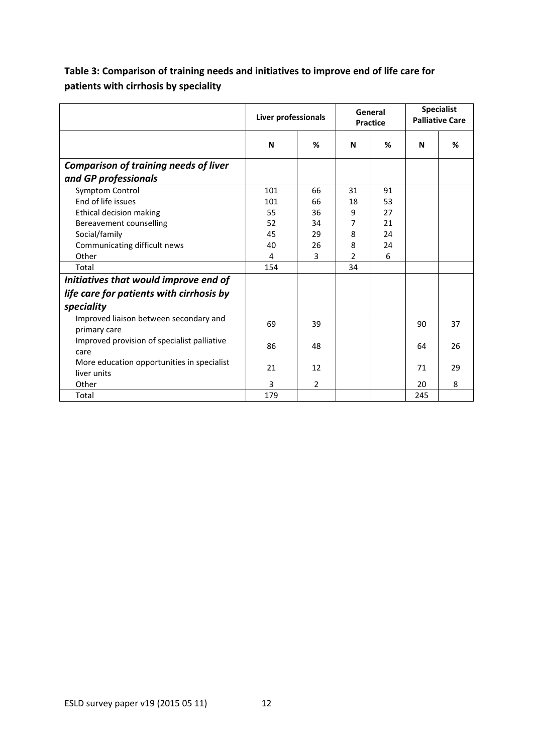|                                              | Liver professionals |    | General<br><b>Practice</b> |    | <b>Specialist</b><br><b>Palliative Care</b> |    |
|----------------------------------------------|---------------------|----|----------------------------|----|---------------------------------------------|----|
|                                              | N                   | %  | N                          | %  | N                                           | %  |
| <b>Comparison of training needs of liver</b> |                     |    |                            |    |                                             |    |
| and GP professionals                         |                     |    |                            |    |                                             |    |
| Symptom Control                              | 101                 | 66 | 31                         | 91 |                                             |    |
| End of life issues                           | 101                 | 66 | 18                         | 53 |                                             |    |
| Ethical decision making                      | 55                  | 36 | 9                          | 27 |                                             |    |
| Bereavement counselling                      | 52                  | 34 | 7                          | 21 |                                             |    |
| Social/family                                | 45                  | 29 | 8                          | 24 |                                             |    |
| Communicating difficult news                 | 40                  | 26 | 8                          | 24 |                                             |    |
| Other                                        | 4                   | 3  | $\overline{2}$             | 6  |                                             |    |
| Total                                        | 154                 |    | 34                         |    |                                             |    |
| Initiatives that would improve end of        |                     |    |                            |    |                                             |    |
| life care for patients with cirrhosis by     |                     |    |                            |    |                                             |    |
| speciality                                   |                     |    |                            |    |                                             |    |
| Improved liaison between secondary and       | 69                  | 39 |                            |    | 90                                          | 37 |
| primary care                                 |                     |    |                            |    |                                             |    |
| Improved provision of specialist palliative  | 86                  | 48 |                            |    | 64                                          | 26 |
| care                                         |                     |    |                            |    |                                             |    |
| More education opportunities in specialist   | 21                  | 12 |                            |    | 71                                          | 29 |
| liver units                                  |                     |    |                            |    |                                             |    |
| Other                                        | 3                   | 2  |                            |    | 20                                          | 8  |
| Total                                        | 179                 |    |                            |    | 245                                         |    |

# **Table 3: Comparison of training needs and initiatives to improve end of life care for patients with cirrhosis by speciality**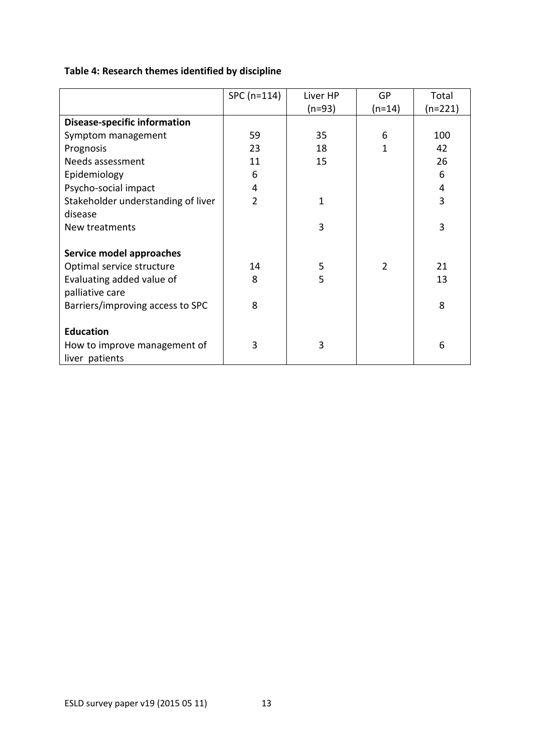| Table 4: Research themes identified by discipline |  |  |
|---------------------------------------------------|--|--|
|---------------------------------------------------|--|--|

|                                     | SPC (n=114)    | Liver HP | GP             | Total     |
|-------------------------------------|----------------|----------|----------------|-----------|
|                                     |                | $(n=93)$ | $(n=14)$       | $(n=221)$ |
| <b>Disease-specific information</b> |                |          |                |           |
| Symptom management                  | 59             | 35       | 6              | 100       |
| Prognosis                           | 23             | 18       | 1              | 42        |
| Needs assessment                    | 11             | 15       |                | 26        |
| Epidemiology                        | 6              |          |                | 6         |
| Psycho-social impact                | 4              |          |                | 4         |
| Stakeholder understanding of liver  | $\overline{2}$ | 1        |                | 3         |
| disease                             |                |          |                |           |
| New treatments                      |                | 3        |                | 3         |
|                                     |                |          |                |           |
| Service model approaches            |                |          |                |           |
| Optimal service structure           | 14             | 5        | $\overline{2}$ | 21        |
| Evaluating added value of           | 8              | 5        |                | 13        |
| palliative care                     |                |          |                |           |
| Barriers/improving access to SPC    | 8              |          |                | 8         |
|                                     |                |          |                |           |
| <b>Education</b>                    |                |          |                |           |
| How to improve management of        | 3              | 3        |                | 6         |
| liver patients                      |                |          |                |           |